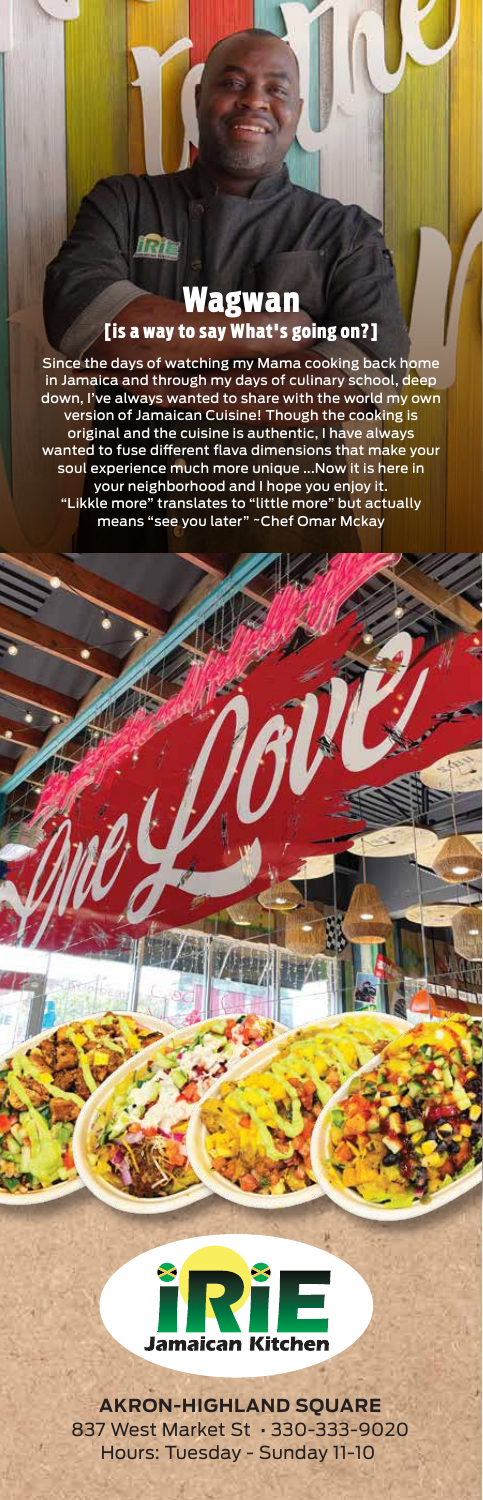### Wagwan [is a way to say What's going on?]

fri a

Since the days of watching my Mama cooking back home in Jamaica and through my days of culinary school, deep down, I've always wanted to share with the world my own version of Jamaican Cuisine! Though the cooking is original and the cuisine is authentic, I have always wanted to fuse different flava dimensions that make your soul experience much more unique ...Now it is here in your neighborhood and I hope you enjoy it. "Likkle more" translates to "little more" but actually means "see you later" ~Chef Omar Mckay



**AKRON-HIGHLAND SQUARE** 837 West Market St • 330-333-9020 Hours: Tuesday - Sunday 11-10